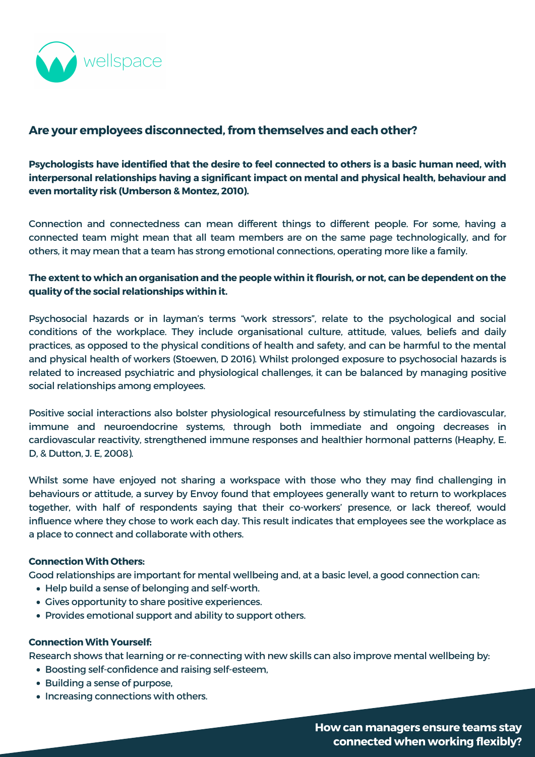

# **Are your employees disconnected,from themselves and each other?**

**Psychologists have identified that the desire to feel connected to others is a basic human need, with interpersonal relationships having a significant impact on mental and physical health, behaviour and even mortality risk [\(Umberson](https://www.ncbi.nlm.nih.gov/pmc/articles/PMC3150158/) & Montez, 2010).**

- Help build a sense of belonging and self-worth.
- Gives opportunity to share positive experiences.
- Provides emotional support and ability to support others.

- Boosting self-confidence and raising self-esteem,
- Building a sense of purpose,
- Increasing connections with others.

Connection and connectedness can mean different things to different people. For some, having a connected team might mean that all team members are on the same page technologically, and for others, it may mean that a team has strong emotional connections, operating more like a family.

## The extent to which an organisation and the people within it flourish, or not, can be dependent on the **quality of the social relationships within it.**

Psychosocial hazards or in layman's terms "work stressors", relate to the psychological and social conditions of the workplace. They include organisational culture, attitude, values, beliefs and daily practices, as opposed to the physical conditions of health and safety, and can be harmful to the mental and physical health of workers [\(Stoewen,](https://www.researchgate.net/publication/311681116_Wellness_at_Work_Building_Healthy_Workplaces) D 2016). Whilst prolonged exposure to psychosocial hazards is related to increased psychiatric and physiological challenges, it can be balanced by managing positive social relationships among employees.

Positive social interactions also bolster physiological resourcefulness by stimulating the cardiovascular, immune and neuroendocrine systems, through both immediate and ongoing decreases in [cardiovascular](https://psycnet.apa.org/record/2008-00018-008) reactivity, strengthened immune responses and healthier hormonal patterns (Heaphy, E. D, & Dutton, J. E, 2008).

Whilst some have enjoyed not sharing a workspace with those who they may find challenging in behaviours or attitude, a survey by [Envoy](https://envoy.com/blog/envoy-survey-finds-hybrid-work-improves-mental-health-for-uk-workers/) found that employees generally want to return to workplaces together, with half of respondents saying that their co-workers' presence, or lack thereof, would influence where they chose to work each day. This result indicates that employees see the workplace as a place to connect and collaborate with others.

#### **Connection With Others:**

Good relationships are important for mental wellbeing and, at a basic level, a good connection can:

### **Connection With Yourself:**

Research shows that learning or re-connecting with new skills can also improve mental wellbeing by:

**How can managers ensure teams stay connected when working flexibly?**